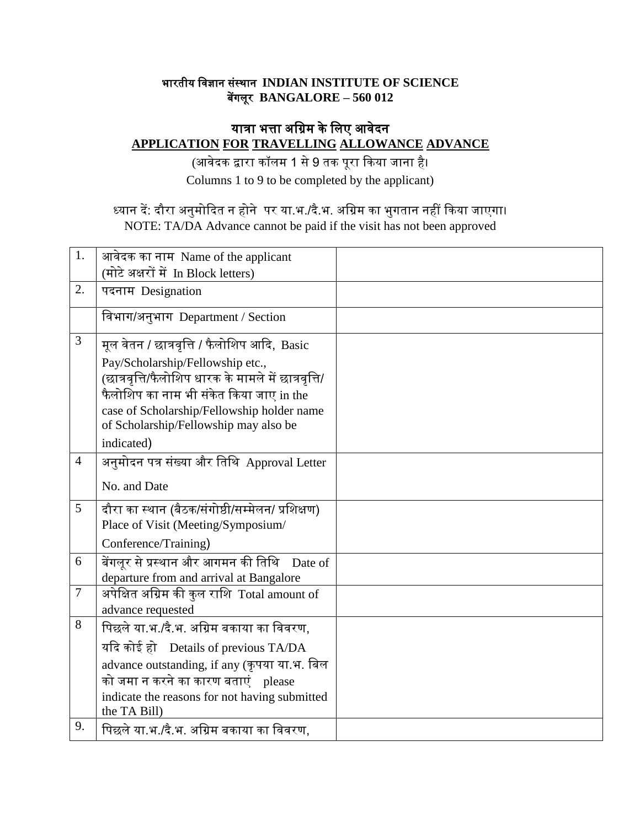#### भारतीय विज्ञान संस्थान **INDIAN INSTITUTE OF SCIENCE** बेंगलूर **BANGALORE – 560 012**

# यात्रा भत्ता अग्रिम के लिए आवेदन **APPLICATION FOR TRAVELLING ALLOWANCE ADVANCE**

(आिेदक द्वारा कॉलम 1 से9 तक पूरा ककया जाना है। Columns 1 to 9 to be completed by the applicant)

# ध्यान दें: दौरा अनुमोकदत न होने पर या.भ./दै.भ. अविम का भुगतान नहीं ककया जाएगा। NOTE: TA/DA Advance cannot be paid if the visit has not been approved

| 1.             | आवेदक का नाम Name of the applicant                  |  |
|----------------|-----------------------------------------------------|--|
|                | (मोटे अक्षरों में In Block letters)                 |  |
| 2.             | पदनाम Designation                                   |  |
|                | विभाग/अनुभाग Department / Section                   |  |
| 3              | मूल वेतन / छात्रवृत्ति / फैलोशिप आदि, Basic         |  |
|                | Pay/Scholarship/Fellowship etc.,                    |  |
|                | (छात्रवृत्ति/फैलोशिप धारक के मामले में छात्रवृत्ति/ |  |
|                | फैलोशिप का नाम भी संकेत किया जाए in the             |  |
|                | case of Scholarship/Fellowship holder name          |  |
|                | of Scholarship/Fellowship may also be               |  |
|                | indicated)                                          |  |
| $\overline{4}$ | अनुमोदन पत्र संख्या और तिथि Approval Letter         |  |
|                | No. and Date                                        |  |
| 5              | दौरा का स्थान (बैठक/संगोष्ठी/सम्मेलन/ प्रशिक्षण)    |  |
|                | Place of Visit (Meeting/Symposium/                  |  |
|                | Conference/Training)                                |  |
| 6              | बेंगलूर से प्रस्थान और आगमन की तिथि<br>Date of      |  |
|                | departure from and arrival at Bangalore             |  |
| $\overline{7}$ | अपेक्षित अग्रिम की कुल राशि Total amount of         |  |
|                | advance requested                                   |  |
| 8              | पिछले या.भ./दै.भ. अग्रिम बकाया का विवरण,            |  |
|                | यदि कोई हो Details of previous TA/DA                |  |
|                | advance outstanding, if any (कृपया या.भ. बिल        |  |
|                | को जमा न करने का कारण बताएं please                  |  |
|                | indicate the reasons for not having submitted       |  |
|                | the TA Bill)                                        |  |
| 9.             | पिछले या भ /दे भ. अग्रिम बकाया का विवरण,            |  |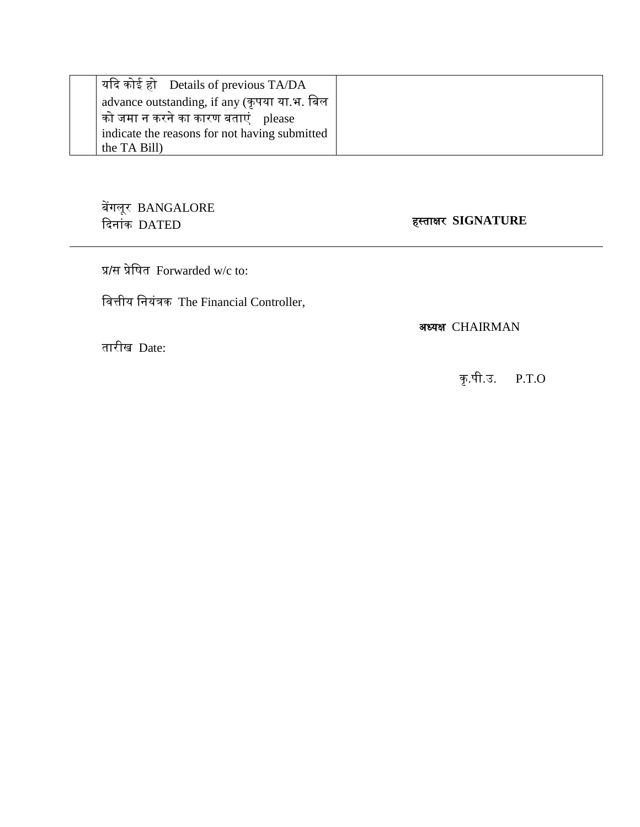| । यदि कोई हो $\;$ Details of previous TA/DA   |
|-----------------------------------------------|
| advance outstanding, if any (कृपया या.भ. बिल  |
| को जमा न करने का कारण बताएं    please         |
| indicate the reasons for not having submitted |
| the TA Bill)                                  |

बेंगलूर BANGALORE कदनांक DATED हस्ताक्षर **SIGNATURE**

प्र/स प्रेवित Forwarded w/c to:

वित्तीय वनयंत्रक The Financial Controller,

अध्यक्ष CHAIRMAN

तारीख Date:

कृ .पी.उ. P.T.O